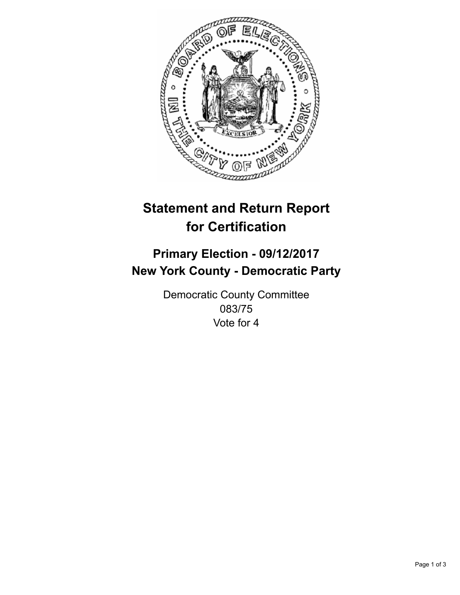

## **Statement and Return Report for Certification**

## **Primary Election - 09/12/2017 New York County - Democratic Party**

Democratic County Committee 083/75 Vote for 4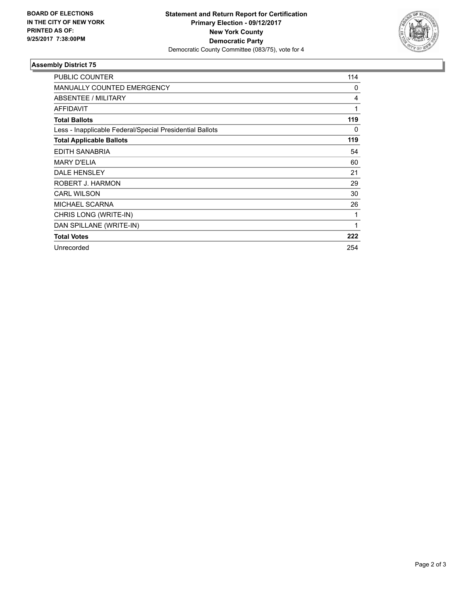

## **Assembly District 75**

| <b>PUBLIC COUNTER</b>                                    | 114 |
|----------------------------------------------------------|-----|
| <b>MANUALLY COUNTED EMERGENCY</b>                        | 0   |
| ABSENTEE / MILITARY                                      | 4   |
| <b>AFFIDAVIT</b>                                         | 1   |
| <b>Total Ballots</b>                                     | 119 |
| Less - Inapplicable Federal/Special Presidential Ballots | 0   |
| <b>Total Applicable Ballots</b>                          | 119 |
| EDITH SANABRIA                                           | 54  |
| <b>MARY D'ELIA</b>                                       | 60  |
| DALE HENSLEY                                             | 21  |
| ROBERT J. HARMON                                         | 29  |
| <b>CARL WILSON</b>                                       | 30  |
| <b>MICHAEL SCARNA</b>                                    | 26  |
| CHRIS LONG (WRITE-IN)                                    | 1   |
| DAN SPILLANE (WRITE-IN)                                  | 1   |
| <b>Total Votes</b>                                       | 222 |
| Unrecorded                                               | 254 |